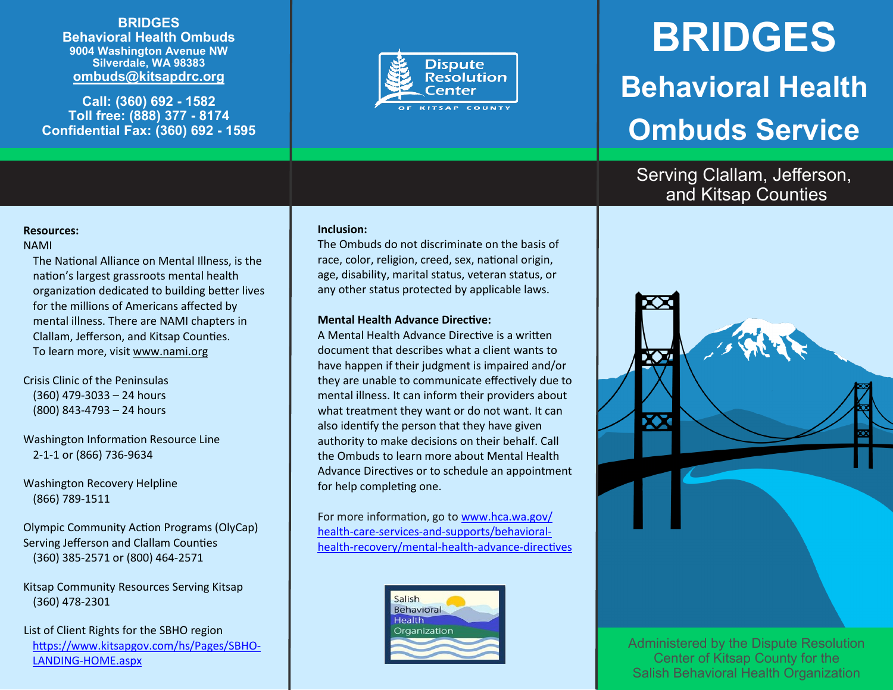## **BRIDGES**

**Behavioral Health Ombuds 9004 Washington Avenue NW Silverdale, WA 98383 ombuds@kitsapdrc.org**

**Call: (360) 692 - 1582 Toll free: (888) 377 - 8174 Confidential Fax: (360) 692 - 1595**



# **BRIDGES Behavioral Health Ombuds Service**

## Serving Clallam, Jefferson, and Kitsap Counties

### **Resources:**

#### NAMI

The National Alliance on Mental Illness, is the nation's largest grassroots mental health organization dedicated to building better lives for the millions of Americans affected by mental illness. There are NAMI chapters in Clallam, Jefferson, and Kitsap Counties. To learn more, visit www.nami.org

### Crisis Clinic of the Peninsulas (360) 479-3033 – 24 hours (800) 843-4793 – 24 hours

Washington Information Resource Line 2-1-1 or (866) 736-9634

Washington Recovery Helpline (866) 789-1511

Olympic Community Action Programs (OlyCap) Serving Jefferson and Clallam Counties (360) 385-2571 or (800) 464-2571

Kitsap Community Resources Serving Kitsap (360) 478-2301

 List of Client Rights for the SBHO region [https://www.kitsapgov.com/hs/Pages/SBHO](https://www.kitsapgov.com/hs/Pages/SBHO-LANDING-HOME.aspx)-LANDING-[HOME.aspx](https://www.kitsapgov.com/hs/Pages/SBHO-LANDING-HOME.aspx)

#### **Inclusion:**

The Ombuds do not discriminate on the basis of race, color, religion, creed, sex, national origin, age, disability, marital status, veteran status, or any other status protected by applicable laws.

#### **Mental Health Advance Directive:**

A Mental Health Advance Directive is a written document that describes what a client wants to have happen if their judgment is impaired and/or they are unable to communicate effectively due to mental illness. It can inform their providers about what treatment they want or do not want. It can also identify the person that they have given authority to make decisions on their behalf. Call the Ombuds to learn more about Mental Health Advance Directives or to schedule an appointment for help completing one.

For more information, go to www.hca.wa.gov/ health-care-services-and-supports/behavioralhealth-recovery/mental-health-advance-directives





Administered by the Dispute Resolution Center of Kitsap County for the Salish Behavioral Health Organization